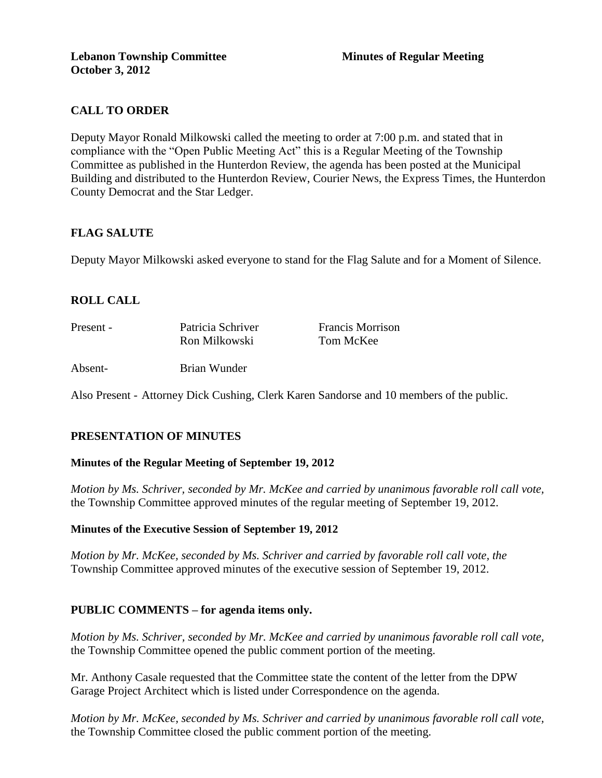# **CALL TO ORDER**

Deputy Mayor Ronald Milkowski called the meeting to order at 7:00 p.m. and stated that in compliance with the "Open Public Meeting Act" this is a Regular Meeting of the Township Committee as published in the Hunterdon Review, the agenda has been posted at the Municipal Building and distributed to the Hunterdon Review, Courier News, the Express Times, the Hunterdon County Democrat and the Star Ledger.

# **FLAG SALUTE**

Deputy Mayor Milkowski asked everyone to stand for the Flag Salute and for a Moment of Silence.

# **ROLL CALL**

| Present - | Patricia Schriver | <b>Francis Morrison</b> |
|-----------|-------------------|-------------------------|
|           | Ron Milkowski     | Tom McKee               |
| Absent-   | Brian Wunder      |                         |

Also Present - Attorney Dick Cushing, Clerk Karen Sandorse and 10 members of the public.

# **PRESENTATION OF MINUTES**

#### **Minutes of the Regular Meeting of September 19, 2012**

*Motion by Ms. Schriver, seconded by Mr. McKee and carried by unanimous favorable roll call vote,* the Township Committee approved minutes of the regular meeting of September 19, 2012.

#### **Minutes of the Executive Session of September 19, 2012**

*Motion by Mr. McKee, seconded by Ms. Schriver and carried by favorable roll call vote, the* Township Committee approved minutes of the executive session of September 19, 2012.

# **PUBLIC COMMENTS – for agenda items only.**

*Motion by Ms. Schriver, seconded by Mr. McKee and carried by unanimous favorable roll call vote,* the Township Committee opened the public comment portion of the meeting.

Mr. Anthony Casale requested that the Committee state the content of the letter from the DPW Garage Project Architect which is listed under Correspondence on the agenda.

*Motion by Mr. McKee, seconded by Ms. Schriver and carried by unanimous favorable roll call vote,* the Township Committee closed the public comment portion of the meeting.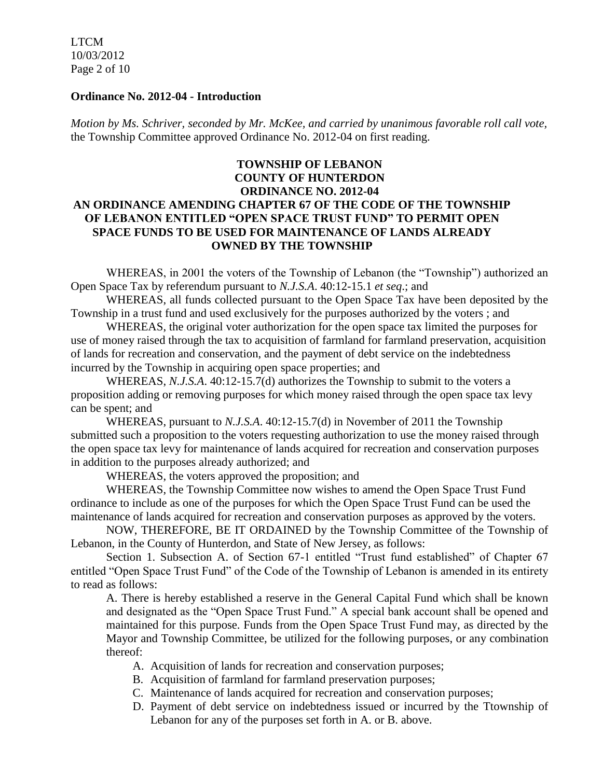LTCM 10/03/2012 Page 2 of 10

#### **Ordinance No. 2012-04 - Introduction**

*Motion by Ms. Schriver, seconded by Mr. McKee, and carried by unanimous favorable roll call vote,*  the Township Committee approved Ordinance No. 2012-04 on first reading.

## **TOWNSHIP OF LEBANON COUNTY OF HUNTERDON ORDINANCE NO. 2012-04 AN ORDINANCE AMENDING CHAPTER 67 OF THE CODE OF THE TOWNSHIP OF LEBANON ENTITLED "OPEN SPACE TRUST FUND" TO PERMIT OPEN SPACE FUNDS TO BE USED FOR MAINTENANCE OF LANDS ALREADY OWNED BY THE TOWNSHIP**

WHEREAS, in 2001 the voters of the Township of Lebanon (the "Township") authorized an Open Space Tax by referendum pursuant to *N.J.S.A*. 40:12-15.1 *et seq*.; and

WHEREAS, all funds collected pursuant to the Open Space Tax have been deposited by the Township in a trust fund and used exclusively for the purposes authorized by the voters ; and

WHEREAS, the original voter authorization for the open space tax limited the purposes for use of money raised through the tax to acquisition of farmland for farmland preservation, acquisition of lands for recreation and conservation, and the payment of debt service on the indebtedness incurred by the Township in acquiring open space properties; and

WHEREAS, *N.J.S.A*. 40:12-15.7(d) authorizes the Township to submit to the voters a proposition adding or removing purposes for which money raised through the open space tax levy can be spent; and

WHEREAS, pursuant to *N.J.S.A*. 40:12-15.7(d) in November of 2011 the Township submitted such a proposition to the voters requesting authorization to use the money raised through the open space tax levy for maintenance of lands acquired for recreation and conservation purposes in addition to the purposes already authorized; and

WHEREAS, the voters approved the proposition; and

WHEREAS, the Township Committee now wishes to amend the Open Space Trust Fund ordinance to include as one of the purposes for which the Open Space Trust Fund can be used the maintenance of lands acquired for recreation and conservation purposes as approved by the voters.

NOW, THEREFORE, BE IT ORDAINED by the Township Committee of the Township of Lebanon, in the County of Hunterdon, and State of New Jersey, as follows:

Section 1. Subsection A. of Section 67-1 entitled "Trust fund established" of Chapter 67 entitled "Open Space Trust Fund" of the Code of the Township of Lebanon is amended in its entirety to read as follows:

A. There is hereby established a reserve in the General Capital Fund which shall be known and designated as the "Open Space Trust Fund." A special bank account shall be opened and maintained for this purpose. Funds from the Open Space Trust Fund may, as directed by the Mayor and Township Committee, be utilized for the following purposes, or any combination thereof:

- A. Acquisition of lands for recreation and conservation purposes;
- B. Acquisition of farmland for farmland preservation purposes;
- C. Maintenance of lands acquired for recreation and conservation purposes;
- D. Payment of debt service on indebtedness issued or incurred by the Ttownship of Lebanon for any of the purposes set forth in A. or B. above.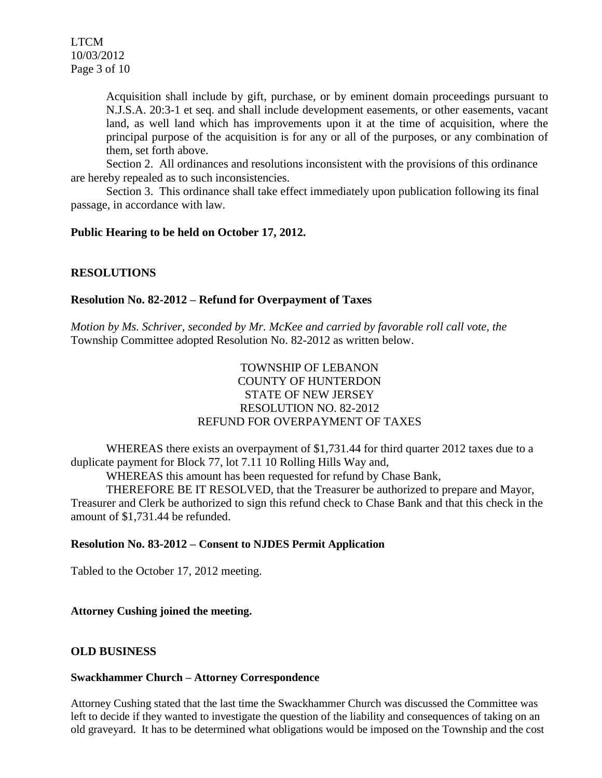Acquisition shall include by gift, purchase, or by eminent domain proceedings pursuant to N.J.S.A. 20:3-1 et seq. and shall include development easements, or other easements, vacant land, as well land which has improvements upon it at the time of acquisition, where the principal purpose of the acquisition is for any or all of the purposes, or any combination of them, set forth above.

Section 2. All ordinances and resolutions inconsistent with the provisions of this ordinance are hereby repealed as to such inconsistencies.

Section 3. This ordinance shall take effect immediately upon publication following its final passage, in accordance with law.

### **Public Hearing to be held on October 17, 2012.**

# **RESOLUTIONS**

### **Resolution No. 82-2012 – Refund for Overpayment of Taxes**

*Motion by Ms. Schriver, seconded by Mr. McKee and carried by favorable roll call vote, the* Township Committee adopted Resolution No. 82-2012 as written below.

# TOWNSHIP OF LEBANON COUNTY OF HUNTERDON STATE OF NEW JERSEY RESOLUTION NO. 82-2012 REFUND FOR OVERPAYMENT OF TAXES

WHEREAS there exists an overpayment of \$1,731.44 for third quarter 2012 taxes due to a duplicate payment for Block 77, lot 7.11 10 Rolling Hills Way and,

WHEREAS this amount has been requested for refund by Chase Bank,

THEREFORE BE IT RESOLVED, that the Treasurer be authorized to prepare and Mayor, Treasurer and Clerk be authorized to sign this refund check to Chase Bank and that this check in the amount of \$1,731.44 be refunded.

#### **Resolution No. 83-2012 – Consent to NJDES Permit Application**

Tabled to the October 17, 2012 meeting.

#### **Attorney Cushing joined the meeting.**

#### **OLD BUSINESS**

#### **Swackhammer Church – Attorney Correspondence**

Attorney Cushing stated that the last time the Swackhammer Church was discussed the Committee was left to decide if they wanted to investigate the question of the liability and consequences of taking on an old graveyard. It has to be determined what obligations would be imposed on the Township and the cost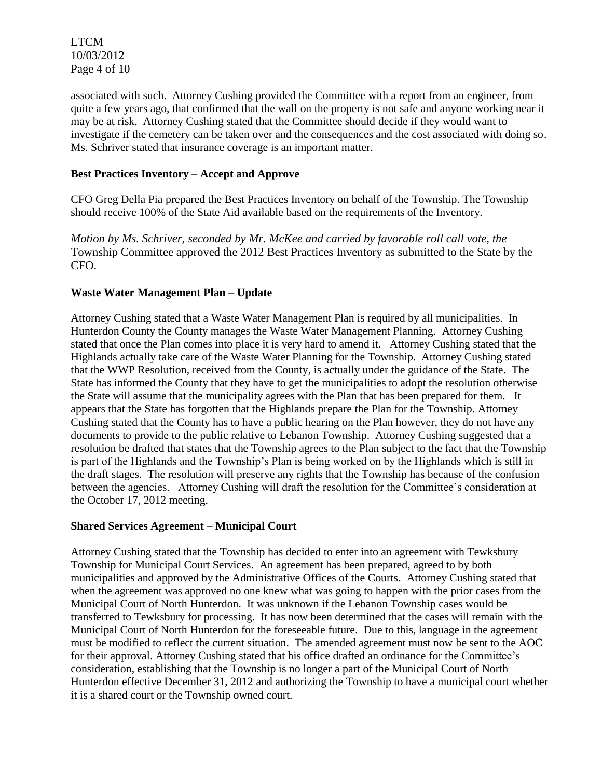LTCM 10/03/2012 Page 4 of 10

associated with such. Attorney Cushing provided the Committee with a report from an engineer, from quite a few years ago, that confirmed that the wall on the property is not safe and anyone working near it may be at risk. Attorney Cushing stated that the Committee should decide if they would want to investigate if the cemetery can be taken over and the consequences and the cost associated with doing so. Ms. Schriver stated that insurance coverage is an important matter.

#### **Best Practices Inventory – Accept and Approve**

CFO Greg Della Pia prepared the Best Practices Inventory on behalf of the Township. The Township should receive 100% of the State Aid available based on the requirements of the Inventory.

*Motion by Ms. Schriver, seconded by Mr. McKee and carried by favorable roll call vote, the* Township Committee approved the 2012 Best Practices Inventory as submitted to the State by the CFO.

#### **Waste Water Management Plan – Update**

Attorney Cushing stated that a Waste Water Management Plan is required by all municipalities. In Hunterdon County the County manages the Waste Water Management Planning. Attorney Cushing stated that once the Plan comes into place it is very hard to amend it. Attorney Cushing stated that the Highlands actually take care of the Waste Water Planning for the Township. Attorney Cushing stated that the WWP Resolution, received from the County, is actually under the guidance of the State. The State has informed the County that they have to get the municipalities to adopt the resolution otherwise the State will assume that the municipality agrees with the Plan that has been prepared for them. It appears that the State has forgotten that the Highlands prepare the Plan for the Township. Attorney Cushing stated that the County has to have a public hearing on the Plan however, they do not have any documents to provide to the public relative to Lebanon Township. Attorney Cushing suggested that a resolution be drafted that states that the Township agrees to the Plan subject to the fact that the Township is part of the Highlands and the Township's Plan is being worked on by the Highlands which is still in the draft stages. The resolution will preserve any rights that the Township has because of the confusion between the agencies. Attorney Cushing will draft the resolution for the Committee's consideration at the October 17, 2012 meeting.

#### **Shared Services Agreement – Municipal Court**

Attorney Cushing stated that the Township has decided to enter into an agreement with Tewksbury Township for Municipal Court Services. An agreement has been prepared, agreed to by both municipalities and approved by the Administrative Offices of the Courts. Attorney Cushing stated that when the agreement was approved no one knew what was going to happen with the prior cases from the Municipal Court of North Hunterdon. It was unknown if the Lebanon Township cases would be transferred to Tewksbury for processing. It has now been determined that the cases will remain with the Municipal Court of North Hunterdon for the foreseeable future. Due to this, language in the agreement must be modified to reflect the current situation. The amended agreement must now be sent to the AOC for their approval. Attorney Cushing stated that his office drafted an ordinance for the Committee's consideration, establishing that the Township is no longer a part of the Municipal Court of North Hunterdon effective December 31, 2012 and authorizing the Township to have a municipal court whether it is a shared court or the Township owned court.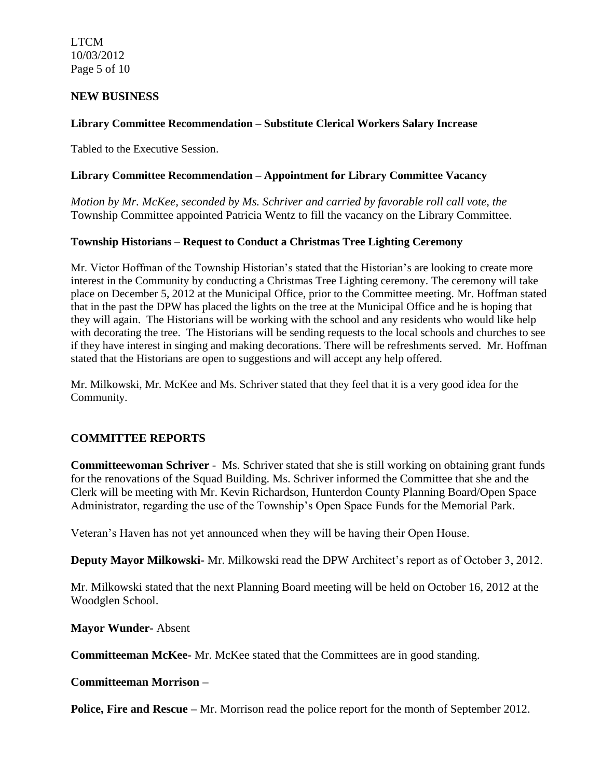LTCM 10/03/2012 Page 5 of 10

#### **NEW BUSINESS**

### **Library Committee Recommendation – Substitute Clerical Workers Salary Increase**

Tabled to the Executive Session.

#### **Library Committee Recommendation – Appointment for Library Committee Vacancy**

*Motion by Mr. McKee, seconded by Ms. Schriver and carried by favorable roll call vote, the* Township Committee appointed Patricia Wentz to fill the vacancy on the Library Committee.

#### **Township Historians – Request to Conduct a Christmas Tree Lighting Ceremony**

Mr. Victor Hoffman of the Township Historian's stated that the Historian's are looking to create more interest in the Community by conducting a Christmas Tree Lighting ceremony. The ceremony will take place on December 5, 2012 at the Municipal Office, prior to the Committee meeting. Mr. Hoffman stated that in the past the DPW has placed the lights on the tree at the Municipal Office and he is hoping that they will again. The Historians will be working with the school and any residents who would like help with decorating the tree. The Historians will be sending requests to the local schools and churches to see if they have interest in singing and making decorations. There will be refreshments served. Mr. Hoffman stated that the Historians are open to suggestions and will accept any help offered.

Mr. Milkowski, Mr. McKee and Ms. Schriver stated that they feel that it is a very good idea for the Community.

#### **COMMITTEE REPORTS**

**Committeewoman Schriver** - Ms. Schriver stated that she is still working on obtaining grant funds for the renovations of the Squad Building. Ms. Schriver informed the Committee that she and the Clerk will be meeting with Mr. Kevin Richardson, Hunterdon County Planning Board/Open Space Administrator, regarding the use of the Township's Open Space Funds for the Memorial Park.

Veteran's Haven has not yet announced when they will be having their Open House.

**Deputy Mayor Milkowski-** Mr. Milkowski read the DPW Architect's report as of October 3, 2012.

Mr. Milkowski stated that the next Planning Board meeting will be held on October 16, 2012 at the Woodglen School.

**Mayor Wunder-** Absent

**Committeeman McKee-** Mr. McKee stated that the Committees are in good standing.

**Committeeman Morrison –**

**Police, Fire and Rescue** – Mr. Morrison read the police report for the month of September 2012.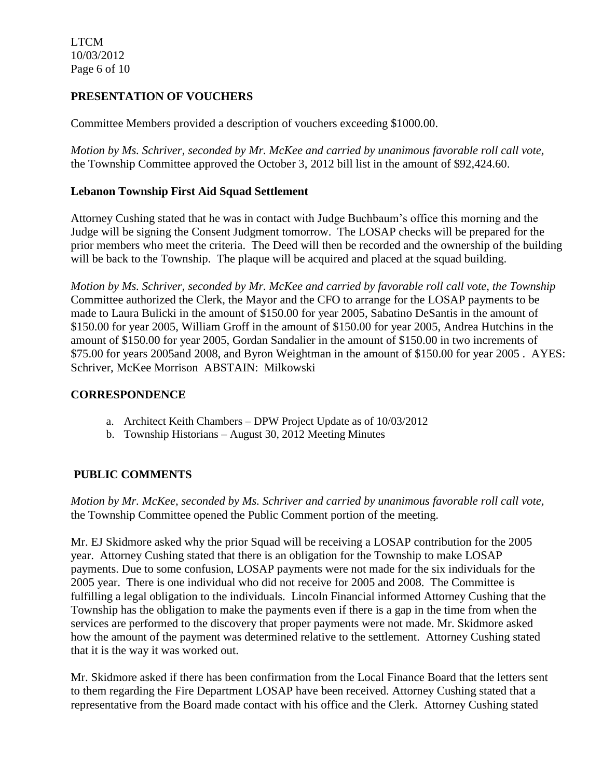LTCM 10/03/2012 Page 6 of 10

# **PRESENTATION OF VOUCHERS**

Committee Members provided a description of vouchers exceeding \$1000.00.

*Motion by Ms. Schriver, seconded by Mr. McKee and carried by unanimous favorable roll call vote,* the Township Committee approved the October 3, 2012 bill list in the amount of \$92,424.60.

### **Lebanon Township First Aid Squad Settlement**

Attorney Cushing stated that he was in contact with Judge Buchbaum's office this morning and the Judge will be signing the Consent Judgment tomorrow. The LOSAP checks will be prepared for the prior members who meet the criteria. The Deed will then be recorded and the ownership of the building will be back to the Township. The plaque will be acquired and placed at the squad building.

*Motion by Ms. Schriver, seconded by Mr. McKee and carried by favorable roll call vote, the Township* Committee authorized the Clerk, the Mayor and the CFO to arrange for the LOSAP payments to be made to Laura Bulicki in the amount of \$150.00 for year 2005, Sabatino DeSantis in the amount of \$150.00 for year 2005, William Groff in the amount of \$150.00 for year 2005, Andrea Hutchins in the amount of \$150.00 for year 2005, Gordan Sandalier in the amount of \$150.00 in two increments of \$75.00 for years 2005and 2008, and Byron Weightman in the amount of \$150.00 for year 2005 . AYES: Schriver, McKee Morrison ABSTAIN: Milkowski

### **CORRESPONDENCE**

- a. Architect Keith Chambers DPW Project Update as of 10/03/2012
- b. Township Historians August 30, 2012 Meeting Minutes

# **PUBLIC COMMENTS**

*Motion by Mr. McKee, seconded by Ms. Schriver and carried by unanimous favorable roll call vote,* the Township Committee opened the Public Comment portion of the meeting.

Mr. EJ Skidmore asked why the prior Squad will be receiving a LOSAP contribution for the 2005 year. Attorney Cushing stated that there is an obligation for the Township to make LOSAP payments. Due to some confusion, LOSAP payments were not made for the six individuals for the 2005 year. There is one individual who did not receive for 2005 and 2008. The Committee is fulfilling a legal obligation to the individuals. Lincoln Financial informed Attorney Cushing that the Township has the obligation to make the payments even if there is a gap in the time from when the services are performed to the discovery that proper payments were not made. Mr. Skidmore asked how the amount of the payment was determined relative to the settlement. Attorney Cushing stated that it is the way it was worked out.

Mr. Skidmore asked if there has been confirmation from the Local Finance Board that the letters sent to them regarding the Fire Department LOSAP have been received. Attorney Cushing stated that a representative from the Board made contact with his office and the Clerk. Attorney Cushing stated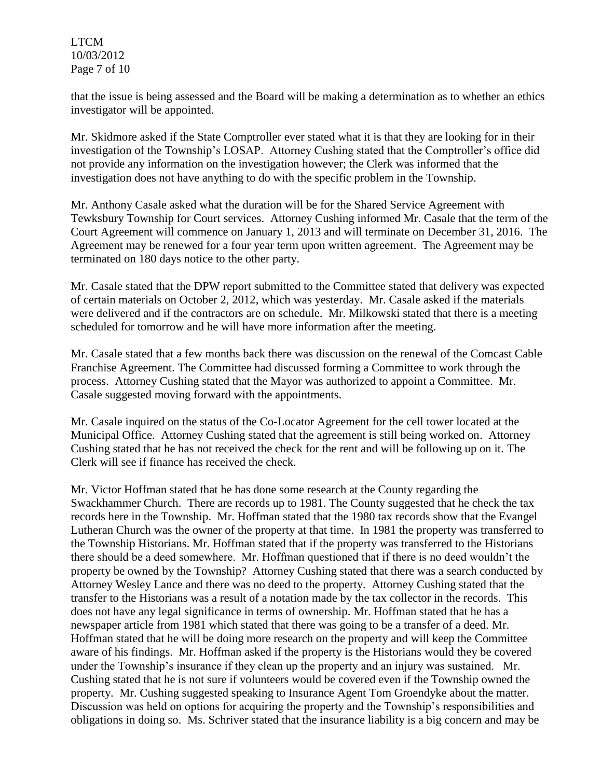LTCM 10/03/2012 Page 7 of 10

that the issue is being assessed and the Board will be making a determination as to whether an ethics investigator will be appointed.

Mr. Skidmore asked if the State Comptroller ever stated what it is that they are looking for in their investigation of the Township's LOSAP. Attorney Cushing stated that the Comptroller's office did not provide any information on the investigation however; the Clerk was informed that the investigation does not have anything to do with the specific problem in the Township.

Mr. Anthony Casale asked what the duration will be for the Shared Service Agreement with Tewksbury Township for Court services. Attorney Cushing informed Mr. Casale that the term of the Court Agreement will commence on January 1, 2013 and will terminate on December 31, 2016. The Agreement may be renewed for a four year term upon written agreement. The Agreement may be terminated on 180 days notice to the other party.

Mr. Casale stated that the DPW report submitted to the Committee stated that delivery was expected of certain materials on October 2, 2012, which was yesterday. Mr. Casale asked if the materials were delivered and if the contractors are on schedule. Mr. Milkowski stated that there is a meeting scheduled for tomorrow and he will have more information after the meeting.

Mr. Casale stated that a few months back there was discussion on the renewal of the Comcast Cable Franchise Agreement. The Committee had discussed forming a Committee to work through the process. Attorney Cushing stated that the Mayor was authorized to appoint a Committee. Mr. Casale suggested moving forward with the appointments.

Mr. Casale inquired on the status of the Co-Locator Agreement for the cell tower located at the Municipal Office. Attorney Cushing stated that the agreement is still being worked on. Attorney Cushing stated that he has not received the check for the rent and will be following up on it. The Clerk will see if finance has received the check.

Mr. Victor Hoffman stated that he has done some research at the County regarding the Swackhammer Church. There are records up to 1981. The County suggested that he check the tax records here in the Township. Mr. Hoffman stated that the 1980 tax records show that the Evangel Lutheran Church was the owner of the property at that time. In 1981 the property was transferred to the Township Historians. Mr. Hoffman stated that if the property was transferred to the Historians there should be a deed somewhere. Mr. Hoffman questioned that if there is no deed wouldn't the property be owned by the Township? Attorney Cushing stated that there was a search conducted by Attorney Wesley Lance and there was no deed to the property. Attorney Cushing stated that the transfer to the Historians was a result of a notation made by the tax collector in the records. This does not have any legal significance in terms of ownership. Mr. Hoffman stated that he has a newspaper article from 1981 which stated that there was going to be a transfer of a deed. Mr. Hoffman stated that he will be doing more research on the property and will keep the Committee aware of his findings. Mr. Hoffman asked if the property is the Historians would they be covered under the Township's insurance if they clean up the property and an injury was sustained. Mr. Cushing stated that he is not sure if volunteers would be covered even if the Township owned the property. Mr. Cushing suggested speaking to Insurance Agent Tom Groendyke about the matter. Discussion was held on options for acquiring the property and the Township's responsibilities and obligations in doing so. Ms. Schriver stated that the insurance liability is a big concern and may be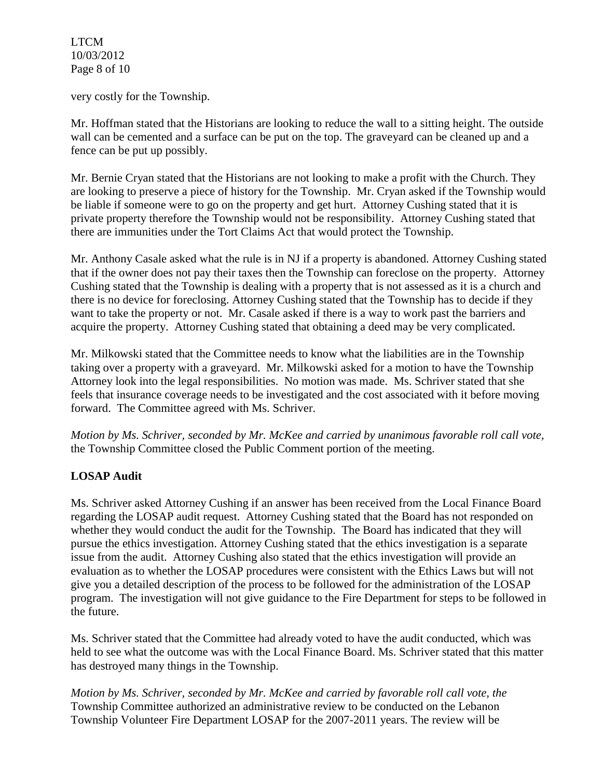LTCM 10/03/2012 Page 8 of 10

very costly for the Township.

Mr. Hoffman stated that the Historians are looking to reduce the wall to a sitting height. The outside wall can be cemented and a surface can be put on the top. The graveyard can be cleaned up and a fence can be put up possibly.

Mr. Bernie Cryan stated that the Historians are not looking to make a profit with the Church. They are looking to preserve a piece of history for the Township. Mr. Cryan asked if the Township would be liable if someone were to go on the property and get hurt. Attorney Cushing stated that it is private property therefore the Township would not be responsibility. Attorney Cushing stated that there are immunities under the Tort Claims Act that would protect the Township.

Mr. Anthony Casale asked what the rule is in NJ if a property is abandoned. Attorney Cushing stated that if the owner does not pay their taxes then the Township can foreclose on the property. Attorney Cushing stated that the Township is dealing with a property that is not assessed as it is a church and there is no device for foreclosing. Attorney Cushing stated that the Township has to decide if they want to take the property or not. Mr. Casale asked if there is a way to work past the barriers and acquire the property. Attorney Cushing stated that obtaining a deed may be very complicated.

Mr. Milkowski stated that the Committee needs to know what the liabilities are in the Township taking over a property with a graveyard. Mr. Milkowski asked for a motion to have the Township Attorney look into the legal responsibilities. No motion was made. Ms. Schriver stated that she feels that insurance coverage needs to be investigated and the cost associated with it before moving forward. The Committee agreed with Ms. Schriver.

*Motion by Ms. Schriver, seconded by Mr. McKee and carried by unanimous favorable roll call vote,* the Township Committee closed the Public Comment portion of the meeting.

# **LOSAP Audit**

Ms. Schriver asked Attorney Cushing if an answer has been received from the Local Finance Board regarding the LOSAP audit request. Attorney Cushing stated that the Board has not responded on whether they would conduct the audit for the Township. The Board has indicated that they will pursue the ethics investigation. Attorney Cushing stated that the ethics investigation is a separate issue from the audit. Attorney Cushing also stated that the ethics investigation will provide an evaluation as to whether the LOSAP procedures were consistent with the Ethics Laws but will not give you a detailed description of the process to be followed for the administration of the LOSAP program. The investigation will not give guidance to the Fire Department for steps to be followed in the future.

Ms. Schriver stated that the Committee had already voted to have the audit conducted, which was held to see what the outcome was with the Local Finance Board. Ms. Schriver stated that this matter has destroyed many things in the Township.

*Motion by Ms. Schriver, seconded by Mr. McKee and carried by favorable roll call vote, the*  Township Committee authorized an administrative review to be conducted on the Lebanon Township Volunteer Fire Department LOSAP for the 2007-2011 years. The review will be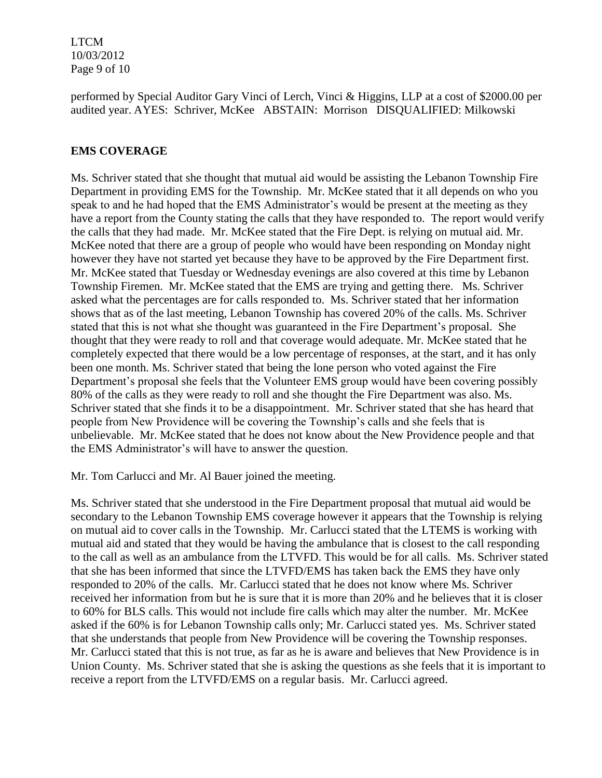LTCM 10/03/2012 Page 9 of 10

performed by Special Auditor Gary Vinci of Lerch, Vinci & Higgins, LLP at a cost of \$2000.00 per audited year. AYES: Schriver, McKee ABSTAIN: Morrison DISQUALIFIED: Milkowski

### **EMS COVERAGE**

Ms. Schriver stated that she thought that mutual aid would be assisting the Lebanon Township Fire Department in providing EMS for the Township. Mr. McKee stated that it all depends on who you speak to and he had hoped that the EMS Administrator's would be present at the meeting as they have a report from the County stating the calls that they have responded to. The report would verify the calls that they had made. Mr. McKee stated that the Fire Dept. is relying on mutual aid. Mr. McKee noted that there are a group of people who would have been responding on Monday night however they have not started yet because they have to be approved by the Fire Department first. Mr. McKee stated that Tuesday or Wednesday evenings are also covered at this time by Lebanon Township Firemen. Mr. McKee stated that the EMS are trying and getting there. Ms. Schriver asked what the percentages are for calls responded to. Ms. Schriver stated that her information shows that as of the last meeting, Lebanon Township has covered 20% of the calls. Ms. Schriver stated that this is not what she thought was guaranteed in the Fire Department's proposal. She thought that they were ready to roll and that coverage would adequate. Mr. McKee stated that he completely expected that there would be a low percentage of responses, at the start, and it has only been one month. Ms. Schriver stated that being the lone person who voted against the Fire Department's proposal she feels that the Volunteer EMS group would have been covering possibly 80% of the calls as they were ready to roll and she thought the Fire Department was also. Ms. Schriver stated that she finds it to be a disappointment. Mr. Schriver stated that she has heard that people from New Providence will be covering the Township's calls and she feels that is unbelievable. Mr. McKee stated that he does not know about the New Providence people and that the EMS Administrator's will have to answer the question.

Mr. Tom Carlucci and Mr. Al Bauer joined the meeting.

Ms. Schriver stated that she understood in the Fire Department proposal that mutual aid would be secondary to the Lebanon Township EMS coverage however it appears that the Township is relying on mutual aid to cover calls in the Township. Mr. Carlucci stated that the LTEMS is working with mutual aid and stated that they would be having the ambulance that is closest to the call responding to the call as well as an ambulance from the LTVFD. This would be for all calls. Ms. Schriver stated that she has been informed that since the LTVFD/EMS has taken back the EMS they have only responded to 20% of the calls. Mr. Carlucci stated that he does not know where Ms. Schriver received her information from but he is sure that it is more than 20% and he believes that it is closer to 60% for BLS calls. This would not include fire calls which may alter the number. Mr. McKee asked if the 60% is for Lebanon Township calls only; Mr. Carlucci stated yes. Ms. Schriver stated that she understands that people from New Providence will be covering the Township responses. Mr. Carlucci stated that this is not true, as far as he is aware and believes that New Providence is in Union County. Ms. Schriver stated that she is asking the questions as she feels that it is important to receive a report from the LTVFD/EMS on a regular basis. Mr. Carlucci agreed.